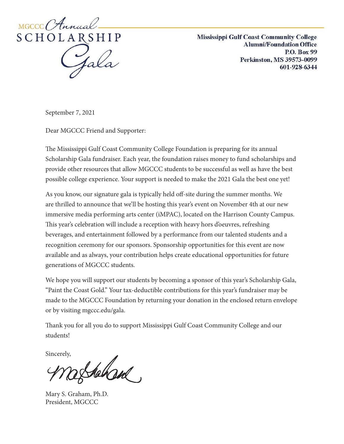

**Mississippi Gulf Coast Community College Alumni/Foundation Office P.O. Box 99** Perkinston, MS 39573-0099 601-928-6344

February 1, 2019 September 7, 2021

Dear MGCCC Friend and Supporter:

The Mississippi Gulf Coast Community College Foundation is preparing for its annual Scholarship Gala fundraiser. Each year, the foundation raises money to fund scholarships and provide other resources that allow MGCCC students to be successful as well as have the best possible college experience. Your support is needed to make the 2021 Gala the best one yet!

 $\mathcal{L}$  , alumni and community supporters leaders, alumni and community supporters will attend the Gala, and and community supporters will attend the Gala, and community supporters will attend the Gala, and  $\mathcal{L}$ As you know, our signature gala is typically held off-site during the summer months. We are thrilled to announce that we'll be hosting this year's event on November 4th at our new This year's celebration will include a reception with heavy hors d'oeuvres, refreshing beverages, and entertainment followed by a performance from our talented students and a recognition ceremony for our sponsors. Sponsorship opportunities for this event are now available and as always, your contribution helps create educational opportunities for future immersive media performing arts center (iMPAC), located on the Harrison County Campus. generations of MGCCC students.

We hope you will support our students by becoming a sponsor of this year's Scholarship Gala, Be the difference in a student of the difference in a student and the students of the proceed rature any  $\epsilon$ . this year's Gala may be made to the MGCCC Foundation, a 501 (c)(3) non-profit organization, by returning the enclosed return environment in the entry of the entry states of the entry states of the entry states of the entry of the entry of the entry of the entry of the entry of the entry of the entry of the entry of "Paint the Coast Gold." Your tax-deductible contributions for this year's fundraiser may be made to the MGCCC Foundation by returning your donation in the enclosed return envelope or by visiting mgccc.edu/gala.

Please contact Dee Hatten at 601-928-6344 or at 601-928-6344 or at dena.hatten at den edu if you need further  $\ell$ Thank you for all you do to support Mississippi Gulf Coast Community College and our students!

Sincerely,

of thehand

Mary S. Graham, Ph.D. President, MGCCC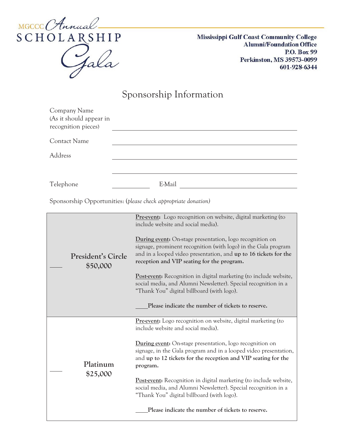

**Mississippi Gulf Coast Community College Alumni/Foundation Office P.O. Box 99 Perkinston, MS 39573-0099 601-928-6344**

## Sponsorship Information

| Company Name<br>(As it should appear in<br>recognition pieces) |                                                                                                                                                                                                                                                                                                                          |
|----------------------------------------------------------------|--------------------------------------------------------------------------------------------------------------------------------------------------------------------------------------------------------------------------------------------------------------------------------------------------------------------------|
| <b>Contact Name</b>                                            |                                                                                                                                                                                                                                                                                                                          |
| Address                                                        |                                                                                                                                                                                                                                                                                                                          |
| Telephone                                                      | E-Mail                                                                                                                                                                                                                                                                                                                   |
| Sponsorship Opportunities: (please check appropriate donation) |                                                                                                                                                                                                                                                                                                                          |
| President's Circle<br>\$50,000                                 | Pre-event: Logo recognition on website, digital marketing (to<br>include website and social media).                                                                                                                                                                                                                      |
|                                                                | During event: On-stage presentation, logo recognition on<br>signage, prominent recognition (with logo) in the Gala program<br>and in a looped video presentation, and up to 16 tickets for the<br>reception and VIP seating for the program.<br><b>Post-event:</b> Recognition in digital marketing (to include website, |
|                                                                | social media, and Alumni Newsletter). Special recognition in a<br>"Thank You" digital billboard (with logo).                                                                                                                                                                                                             |
|                                                                | Please indicate the number of tickets to reserve.                                                                                                                                                                                                                                                                        |
| Platinum<br>\$25,000                                           | <b>Pre-event:</b> Logo recognition on website, digital marketing (to<br>include website and social media).                                                                                                                                                                                                               |
|                                                                | <b>During event:</b> On-stage presentation, logo recognition on<br>signage, in the Gala program and in a looped video presentation,<br>and up to 12 tickets for the reception and VIP seating for the<br>program.                                                                                                        |
|                                                                | <b>Post-event:</b> Recognition in digital marketing (to include website,<br>social media, and Alumni Newsletter). Special recognition in a<br>"Thank You" digital billboard (with logo).                                                                                                                                 |
|                                                                | Please indicate the number of tickets to reserve.                                                                                                                                                                                                                                                                        |